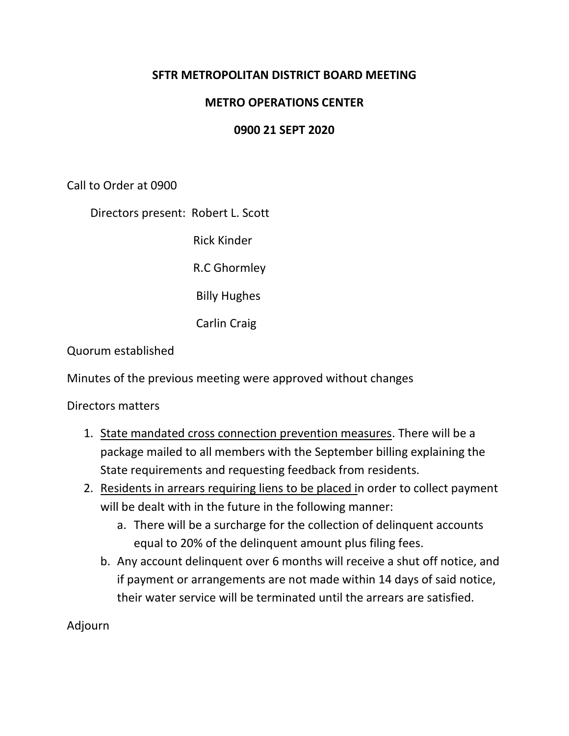# **SFTR METROPOLITAN DISTRICT BOARD MEETING**

# **METRO OPERATIONS CENTER**

#### **0900 21 SEPT 2020**

Call to Order at 0900

Directors present: Robert L. Scott

Rick Kinder

R.C Ghormley

Billy Hughes

Carlin Craig

Quorum established

Minutes of the previous meeting were approved without changes

Directors matters

- 1. State mandated cross connection prevention measures. There will be a package mailed to all members with the September billing explaining the State requirements and requesting feedback from residents.
- 2. Residents in arrears requiring liens to be placed in order to collect payment will be dealt with in the future in the following manner:
	- a. There will be a surcharge for the collection of delinquent accounts equal to 20% of the delinquent amount plus filing fees.
	- b. Any account delinquent over 6 months will receive a shut off notice, and if payment or arrangements are not made within 14 days of said notice, their water service will be terminated until the arrears are satisfied.

Adjourn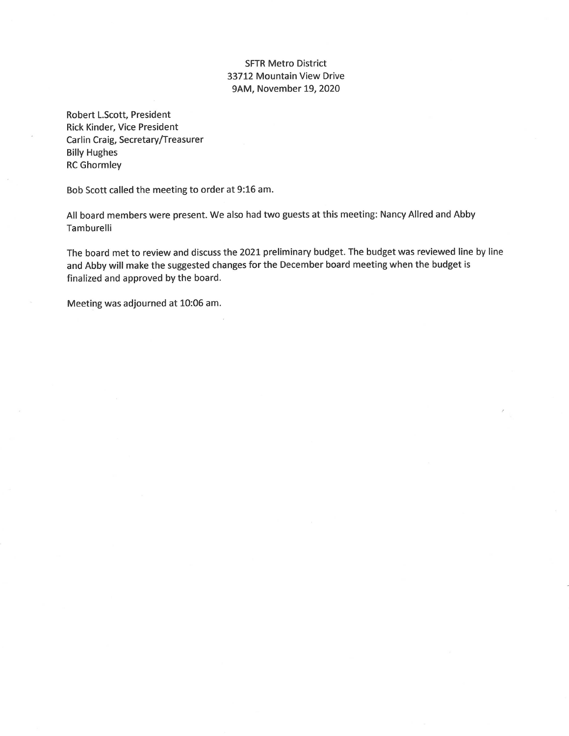#### **SFTR Metro District** 33712 Mountain View Drive 9AM, November 19, 2020

Robert L.Scott, President Rick Kinder, Vice President Carlin Craig, Secretary/Treasurer **Billy Hughes RC Ghormley** 

Bob Scott called the meeting to order at 9:16 am.

All board members were present. We also had two guests at this meeting: Nancy Allred and Abby Tamburelli

The board met to review and discuss the 2021 preliminary budget. The budget was reviewed line by line and Abby will make the suggested changes for the December board meeting when the budget is finalized and approved by the board.

Meeting was adjourned at 10:06 am.